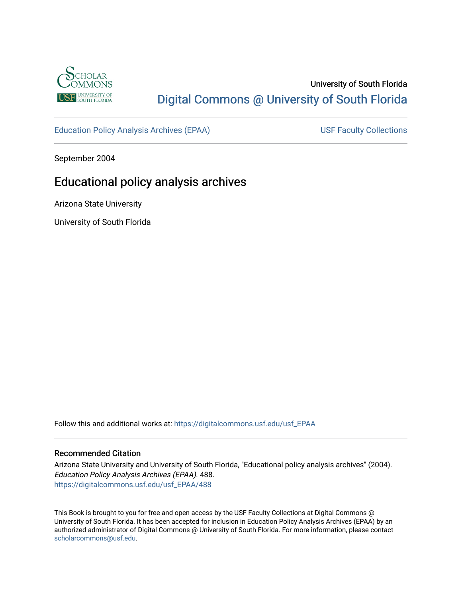

## University of South Florida [Digital Commons @ University of South Florida](https://digitalcommons.usf.edu/)

[Education Policy Analysis Archives \(EPAA\)](https://digitalcommons.usf.edu/usf_EPAA) USF Faculty Collections

September 2004

# Educational policy analysis archives

Arizona State University

University of South Florida

Follow this and additional works at: [https://digitalcommons.usf.edu/usf\\_EPAA](https://digitalcommons.usf.edu/usf_EPAA?utm_source=digitalcommons.usf.edu%2Fusf_EPAA%2F488&utm_medium=PDF&utm_campaign=PDFCoverPages)

#### Recommended Citation

Arizona State University and University of South Florida, "Educational policy analysis archives" (2004). Education Policy Analysis Archives (EPAA). 488. [https://digitalcommons.usf.edu/usf\\_EPAA/488](https://digitalcommons.usf.edu/usf_EPAA/488?utm_source=digitalcommons.usf.edu%2Fusf_EPAA%2F488&utm_medium=PDF&utm_campaign=PDFCoverPages)

This Book is brought to you for free and open access by the USF Faculty Collections at Digital Commons @ University of South Florida. It has been accepted for inclusion in Education Policy Analysis Archives (EPAA) by an authorized administrator of Digital Commons @ University of South Florida. For more information, please contact [scholarcommons@usf.edu.](mailto:scholarcommons@usf.edu)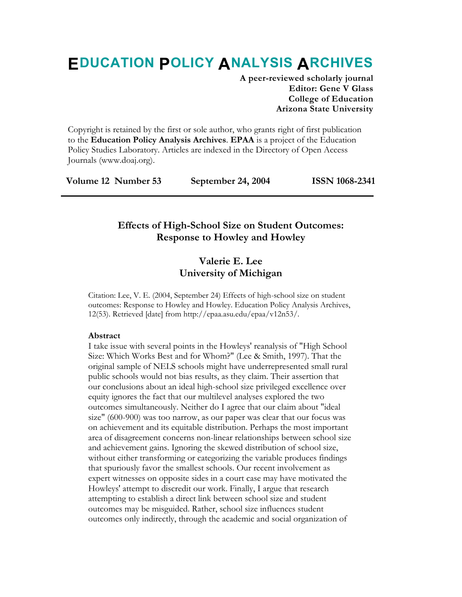# **EDUCATION POLICY ANALYSIS ARCHIVES**

**A peer-reviewed scholarly journal Editor: Gene V Glass College of Education Arizona State University** 

Copyright is retained by the first or sole author, who grants right of first publication to the **Education Policy Analysis Archives**. **EPAA** is a project of the Education Policy Studies Laboratory. Articles are indexed in the Directory of Open Access Journals (www.doaj.org).

|  | Volume 12 Number 53 | September 24, 2004 | <b>ISSN 1068-2341</b> |
|--|---------------------|--------------------|-----------------------|
|--|---------------------|--------------------|-----------------------|

## **Effects of High-School Size on Student Outcomes: Response to Howley and Howley**

## **Valerie E. Lee University of Michigan**

Citation: Lee, V. E. (2004, September 24) Effects of high-school size on student outcomes: Response to Howley and Howley. Education Policy Analysis Archives, 12(53). Retrieved [date] from http://epaa.asu.edu/epaa/v12n53/.

#### **Abstract**

I take issue with several points in the Howleys' reanalysis of "High School Size: Which Works Best and for Whom?" (Lee & Smith, 1997). That the original sample of NELS schools might have underrepresented small rural public schools would not bias results, as they claim. Their assertion that our conclusions about an ideal high-school size privileged excellence over equity ignores the fact that our multilevel analyses explored the two outcomes simultaneously. Neither do I agree that our claim about "ideal size" (600-900) was too narrow, as our paper was clear that our focus was on achievement and its equitable distribution. Perhaps the most important area of disagreement concerns non-linear relationships between school size and achievement gains. Ignoring the skewed distribution of school size, without either transforming or categorizing the variable produces findings that spuriously favor the smallest schools. Our recent involvement as expert witnesses on opposite sides in a court case may have motivated the Howleys' attempt to discredit our work. Finally, I argue that research attempting to establish a direct link between school size and student outcomes may be misguided. Rather, school size influences student outcomes only indirectly, through the academic and social organization of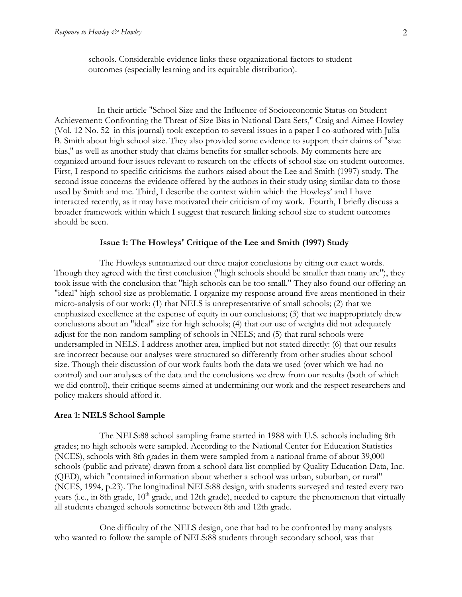schools. Considerable evidence links these organizational factors to student outcomes (especially learning and its equitable distribution).

 In their article "School Size and the Influence of Socioeconomic Status on Student Achievement: Confronting the Threat of Size Bias in National Data Sets," Craig and Aimee Howley (Vol. 12 No. 52 in this journal) took exception to several issues in a paper I co-authored with Julia B. Smith about high school size. They also provided some evidence to support their claims of "size bias," as well as another study that claims benefits for smaller schools. My comments here are organized around four issues relevant to research on the effects of school size on student outcomes. First, I respond to specific criticisms the authors raised about the Lee and Smith (1997) study. The second issue concerns the evidence offered by the authors in their study using similar data to those used by Smith and me. Third, I describe the context within which the Howleys' and I have interacted recently, as it may have motivated their criticism of my work. Fourth, I briefly discuss a broader framework within which I suggest that research linking school size to student outcomes should be seen.

#### **Issue 1: The Howleys' Critique of the Lee and Smith (1997) Study**

 The Howleys summarized our three major conclusions by citing our exact words. Though they agreed with the first conclusion ("high schools should be smaller than many are"), they took issue with the conclusion that "high schools can be too small." They also found our offering an "ideal" high-school size as problematic. I organize my response around five areas mentioned in their micro-analysis of our work: (1) that NELS is unrepresentative of small schools; (2) that we emphasized excellence at the expense of equity in our conclusions; (3) that we inappropriately drew conclusions about an "ideal" size for high schools; (4) that our use of weights did not adequately adjust for the non-random sampling of schools in NELS; and (5) that rural schools were undersampled in NELS. I address another area, implied but not stated directly: (6) that our results are incorrect because our analyses were structured so differently from other studies about school size. Though their discussion of our work faults both the data we used (over which we had no control) and our analyses of the data and the conclusions we drew from our results (both of which we did control), their critique seems aimed at undermining our work and the respect researchers and policy makers should afford it.

#### **Area 1: NELS School Sample**

 The NELS:88 school sampling frame started in 1988 with U.S. schools including 8th grades; no high schools were sampled. According to the National Center for Education Statistics (NCES), schools with 8th grades in them were sampled from a national frame of about 39,000 schools (public and private) drawn from a school data list complied by Quality Education Data, Inc. (QED), which "contained information about whether a school was urban, suburban, or rural" (NCES, 1994, p.23). The longitudinal NELS:88 design, with students surveyed and tested every two years (i.e., in 8th grade, 10<sup>th</sup> grade, and 12th grade), needed to capture the phenomenon that virtually all students changed schools sometime between 8th and 12th grade.

 One difficulty of the NELS design, one that had to be confronted by many analysts who wanted to follow the sample of NELS:88 students through secondary school, was that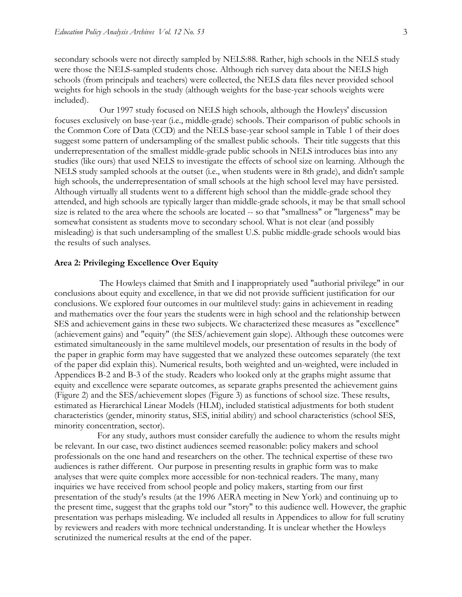secondary schools were not directly sampled by NELS:88. Rather, high schools in the NELS study were those the NELS-sampled students chose. Although rich survey data about the NELS high schools (from principals and teachers) were collected, the NELS data files never provided school weights for high schools in the study (although weights for the base-year schools weights were included).

 Our 1997 study focused on NELS high schools, although the Howleys' discussion focuses exclusively on base-year (i.e., middle-grade) schools. Their comparison of public schools in the Common Core of Data (CCD) and the NELS base-year school sample in Table 1 of their does suggest some pattern of undersampling of the smallest public schools. Their title suggests that this underrepresentation of the smallest middle-grade public schools in NELS introduces bias into any studies (like ours) that used NELS to investigate the effects of school size on learning. Although the NELS study sampled schools at the outset (i.e., when students were in 8th grade), and didn't sample high schools, the underrepresentation of small schools at the high school level may have persisted. Although virtually all students went to a different high school than the middle-grade school they attended, and high schools are typically larger than middle-grade schools, it may be that small school size is related to the area where the schools are located -- so that "smallness" or "largeness" may be somewhat consistent as students move to secondary school. What is not clear (and possibly misleading) is that such undersampling of the smallest U.S. public middle-grade schools would bias the results of such analyses.

#### **Area 2: Privileging Excellence Over Equity**

 The Howleys claimed that Smith and I inappropriately used "authorial privilege" in our conclusions about equity and excellence, in that we did not provide sufficient justification for our conclusions. We explored four outcomes in our multilevel study: gains in achievement in reading and mathematics over the four years the students were in high school and the relationship between SES and achievement gains in these two subjects. We characterized these measures as "excellence" (achievement gains) and "equity" (the SES/achievement gain slope). Although these outcomes were estimated simultaneously in the same multilevel models, our presentation of results in the body of the paper in graphic form may have suggested that we analyzed these outcomes separately (the text of the paper did explain this). Numerical results, both weighted and un-weighted, were included in Appendices B-2 and B-3 of the study. Readers who looked only at the graphs might assume that equity and excellence were separate outcomes, as separate graphs presented the achievement gains (Figure 2) and the SES/achievement slopes (Figure 3) as functions of school size. These results, estimated as Hierarchical Linear Models (HLM), included statistical adjustments for both student characteristics (gender, minority status, SES, initial ability) and school characteristics (school SES, minority concentration, sector).

 For any study, authors must consider carefully the audience to whom the results might be relevant. In our case, two distinct audiences seemed reasonable: policy makers and school professionals on the one hand and researchers on the other. The technical expertise of these two audiences is rather different. Our purpose in presenting results in graphic form was to make analyses that were quite complex more accessible for non-technical readers. The many, many inquiries we have received from school people and policy makers, starting from our first presentation of the study's results (at the 1996 AERA meeting in New York) and continuing up to the present time, suggest that the graphs told our "story" to this audience well. However, the graphic presentation was perhaps misleading. We included all results in Appendices to allow for full scrutiny by reviewers and readers with more technical understanding. It is unclear whether the Howleys scrutinized the numerical results at the end of the paper.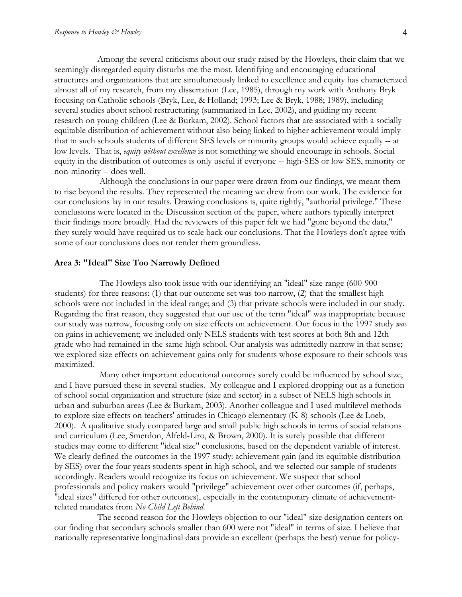Among the several criticisms about our study raised by the Howleys, their claim that we seemingly disregarded equity disturbs me the most. Identifying and encouraging educational structures and organizations that are simultaneously linked to excellence and equity has characterized almost all of my research, from my dissertation (Lee, 1985), through my work with Anthony Bryk focusing on Catholic schools (Bryk, Lee, & Holland; 1993; Lee & Bryk, 1988; 1989), including several studies about school restructuring (summarized in Lee, 2002), and guiding my recent research on young children (Lee & Burkam, 2002). School factors that are associated with a socially equitable distribution of achievement without also being linked to higher achievement would imply that in such schools students of different SES levels or minority groups would achieve equally -- at low levels. That is, *equity without excellence* is not something we should encourage in schools. Social equity in the distribution of outcomes is only useful if everyone -- high-SES or low SES, minority or non-minority -- does well.

 Although the conclusions in our paper were drawn from our findings, we meant them to rise beyond the results. They represented the meaning we drew from our work. The evidence for our conclusions lay in our results. Drawing conclusions is, quite rightly, "authorial privilege." These conclusions were located in the Discussion section of the paper, where authors typically interpret their findings more broadly. Had the reviewers of this paper felt we had "gone beyond the data," they surely would have required us to scale back our conclusions. That the Howleys don't agree with some of our conclusions does not render them groundless.

#### **Area 3: "Ideal" Size Too Narrowly Defined**

 The Howleys also took issue with our identifying an "ideal" size range (600-900 students) for three reasons: (1) that our outcome set was too narrow, (2) that the smallest high schools were not included in the ideal range; and (3) that private schools were included in our study. Regarding the first reason, they suggested that our use of the term "ideal" was inappropriate because our study was narrow, focusing only on size effects on achievement. Our focus in the 1997 study *was* on gains in achievement; we included only NELS students with test scores at both 8th and 12th grade who had remained in the same high school. Our analysis was admittedly narrow in that sense; we explored size effects on achievement gains only for students whose exposure to their schools was maximized.

 Many other important educational outcomes surely could be influenced by school size, and I have pursued these in several studies. My colleague and I explored dropping out as a function of school social organization and structure (size and sector) in a subset of NELS high schools in urban and suburban areas (Lee & Burkam, 2003). Another colleague and I used multilevel methods to explore size effects on teachers' attitudes in Chicago elementary (K-8) schools (Lee & Loeb, 2000). A qualitative study compared large and small public high schools in terms of social relations and curriculum (Lee, Smerdon, Alfeld-Liro, & Brown, 2000). It is surely possible that different studies may come to different "ideal size" conclusions, based on the dependent variable of interest. We clearly defined the outcomes in the 1997 study: achievement gain (and its equitable distribution by SES) over the four years students spent in high school, and we selected our sample of students accordingly. Readers would recognize its focus on achievement. We suspect that school professionals and policy makers would "privilege" achievement over other outcomes (if, perhaps, "ideal sizes" differed for other outcomes), especially in the contemporary climate of achievementrelated mandates from *No Child Left Behind*.

 The second reason for the Howleys objection to our "ideal" size designation centers on our finding that secondary schools smaller than 600 were not "ideal" in terms of size. I believe that nationally representative longitudinal data provide an excellent (perhaps the best) venue for policy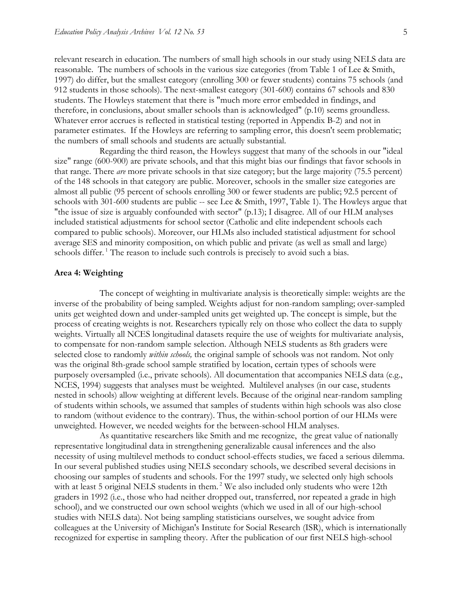relevant research in education. The numbers of small high schools in our study using NELS data are reasonable. The numbers of schools in the various size categories (from Table 1 of Lee & Smith, 1997) do differ, but the smallest category (enrolling 300 or fewer students) contains 75 schools (and 912 students in those schools). The next-smallest category (301-600) contains 67 schools and 830 students. The Howleys statement that there is "much more error embedded in findings, and therefore, in conclusions, about smaller schools than is acknowledged" (p.10) seems groundless. Whatever error accrues is reflected in statistical testing (reported in Appendix B-2) and not in parameter estimates. If the Howleys are referring to sampling error, this doesn't seem problematic; the numbers of small schools and students are actually substantial.

 Regarding the third reason, the Howleys suggest that many of the schools in our "ideal size" range (600-900) are private schools, and that this might bias our findings that favor schools in that range. There *are* more private schools in that size category; but the large majority (75.5 percent) of the 148 schools in that category are public. Moreover, schools in the smaller size categories are almost all public (95 percent of schools enrolling 300 or fewer students are public; 92.5 percent of schools with 301-600 students are public -- see Lee & Smith, 1997, Table 1). The Howleys argue that "the issue of size is arguably confounded with sector" (p.13); I disagree. All of our HLM analyses included statistical adjustments for school sector (Catholic and elite independent schools each compared to public schools). Moreover, our HLMs also included statistical adjustment for school average SES and minority composition, on which public and private (as well as small and large) schools differ.<sup>1</sup> The reason to include such controls is precisely to avoid such a bias.

#### **Area 4: Weighting**

 The concept of weighting in multivariate analysis is theoretically simple: weights are the inverse of the probability of being sampled. Weights adjust for non-random sampling; over-sampled units get weighted down and under-sampled units get weighted up. The concept is simple, but the process of creating weights is not. Researchers typically rely on those who collect the data to supply weights. Virtually all NCES longitudinal datasets require the use of weights for multivariate analysis, to compensate for non-random sample selection. Although NELS students as 8th graders were selected close to randomly *within schools,* the original sample of schools was not random. Not only was the original 8th-grade school sample stratified by location, certain types of schools were purposely oversampled (i.e., private schools). All documentation that accompanies NELS data (e.g., NCES, 1994) suggests that analyses must be weighted. Multilevel analyses (in our case, students nested in schools) allow weighting at different levels. Because of the original near-random sampling of students within schools, we assumed that samples of students within high schools was also close to random (without evidence to the contrary). Thus, the within-school portion of our HLMs were unweighted. However, we needed weights for the between-school HLM analyses.

 As quantitative researchers like Smith and me recognize, the great value of nationally representative longitudinal data in strengthening generalizable causal inferences and the also necessity of using multilevel methods to conduct school-effects studies, we faced a serious dilemma. In our several published studies using NELS secondary schools, we described several decisions in choosing our samples of students and schools. For the 1997 study, we selected only high schools with at least 5 original NELS students in them.<sup>2</sup> We also included only students who were 12th graders in 1992 (i.e., those who had neither dropped out, transferred, nor repeated a grade in high school), and we constructed our own school weights (which we used in all of our high-school studies with NELS data). Not being sampling statisticians ourselves, we sought advice from colleagues at the University of Michigan's Institute for Social Research (ISR), which is internationally recognized for expertise in sampling theory. After the publication of our first NELS high-school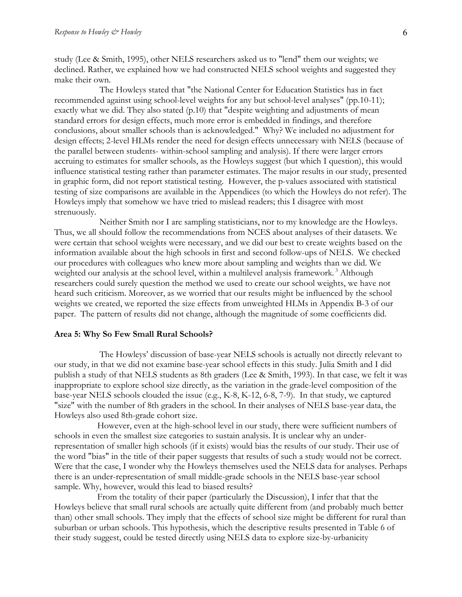study (Lee & Smith, 1995), other NELS researchers asked us to "lend" them our weights; we declined. Rather, we explained how we had constructed NELS school weights and suggested they make their own.

 The Howleys stated that "the National Center for Education Statistics has in fact recommended against using school-level weights for any but school-level analyses" (pp.10-11); exactly what we did. They also stated (p.10) that "despite weighting and adjustments of mean standard errors for design effects, much more error is embedded in findings, and therefore conclusions, about smaller schools than is acknowledged." Why? We included no adjustment for design effects; 2-level HLMs render the need for design effects unnecessary with NELS (because of the parallel between students- within-school sampling and analysis). If there were larger errors accruing to estimates for smaller schools, as the Howleys suggest (but which I question), this would influence statistical testing rather than parameter estimates. The major results in our study, presented in graphic form, did not report statistical testing. However, the p-values associated with statistical testing of size comparisons are available in the Appendices (to which the Howleys do not refer). The Howleys imply that somehow we have tried to mislead readers; this I disagree with most strenuously.

 Neither Smith nor I are sampling statisticians, nor to my knowledge are the Howleys. Thus, we all should follow the recommendations from NCES about analyses of their datasets. We were certain that school weights were necessary, and we did our best to create weights based on the information available about the high schools in first and second follow-ups of NELS. We checked our procedures with colleagues who knew more about sampling and weights than we did. We weighted our analysis at the school level, within a multilevel analysis framework.<sup>3</sup> Although researchers could surely question the method we used to create our school weights, we have not heard such criticism. Moreover, as we worried that our results might be influenced by the school weights we created, we reported the size effects from unweighted HLMs in Appendix B-3 of our paper. The pattern of results did not change, although the magnitude of some coefficients did.

#### **Area 5: Why So Few Small Rural Schools?**

 The Howleys' discussion of base-year NELS schools is actually not directly relevant to our study, in that we did not examine base-year school effects in this study. Julia Smith and I did publish a study of that NELS students as 8th graders (Lee & Smith, 1993). In that case, we felt it was inappropriate to explore school size directly, as the variation in the grade-level composition of the base-year NELS schools clouded the issue (e.g., K-8, K-12, 6-8, 7-9). In that study, we captured "size" with the number of 8th graders in the school. In their analyses of NELS base-year data, the Howleys also used 8th-grade cohort size.

 However, even at the high-school level in our study, there were sufficient numbers of schools in even the smallest size categories to sustain analysis. It is unclear why an underrepresentation of smaller high schools (if it exists) would bias the results of our study. Their use of the word "bias" in the title of their paper suggests that results of such a study would not be correct. Were that the case, I wonder why the Howleys themselves used the NELS data for analyses. Perhaps there is an under-representation of small middle-grade schools in the NELS base-year school sample. Why, however, would this lead to biased results?

 From the totality of their paper (particularly the Discussion), I infer that that the Howleys believe that small rural schools are actually quite different from (and probably much better than) other small schools. They imply that the effects of school size might be different for rural than suburban or urban schools. This hypothesis, which the descriptive results presented in Table 6 of their study suggest, could be tested directly using NELS data to explore size-by-urbanicity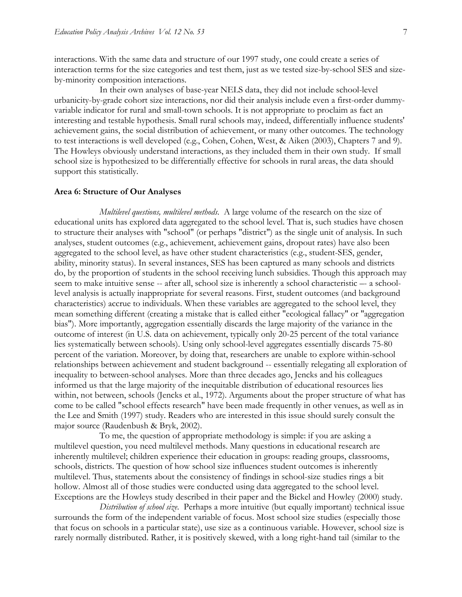interactions. With the same data and structure of our 1997 study, one could create a series of interaction terms for the size categories and test them, just as we tested size-by-school SES and sizeby-minority composition interactions.

 In their own analyses of base-year NELS data, they did not include school-level urbanicity-by-grade cohort size interactions, nor did their analysis include even a first-order dummyvariable indicator for rural and small-town schools. It is not appropriate to proclaim as fact an interesting and testable hypothesis. Small rural schools may, indeed, differentially influence students' achievement gains, the social distribution of achievement, or many other outcomes. The technology to test interactions is well developed (e.g., Cohen, Cohen, West, & Aiken (2003), Chapters 7 and 9). The Howleys obviously understand interactions, as they included them in their own study. If small school size is hypothesized to be differentially effective for schools in rural areas, the data should support this statistically.

#### **Area 6: Structure of Our Analyses**

 *Multilevel questions, multilevel methods*. A large volume of the research on the size of educational units has explored data aggregated to the school level. That is, such studies have chosen to structure their analyses with "school" (or perhaps "district") as the single unit of analysis. In such analyses, student outcomes (e.g., achievement, achievement gains, dropout rates) have also been aggregated to the school level, as have other student characteristics (e.g., student-SES, gender, ability, minority status). In several instances, SES has been captured as many schools and districts do, by the proportion of students in the school receiving lunch subsidies. Though this approach may seem to make intuitive sense -- after all, school size is inherently a school characteristic –- a schoollevel analysis is actually inappropriate for several reasons. First, student outcomes (and background characteristics) accrue to individuals. When these variables are aggregated to the school level, they mean something different (creating a mistake that is called either "ecological fallacy" or "aggregation bias"). More importantly, aggregation essentially discards the large majority of the variance in the outcome of interest (in U.S. data on achievement, typically only 20-25 percent of the total variance lies systematically between schools). Using only school-level aggregates essentially discards 75-80 percent of the variation. Moreover, by doing that, researchers are unable to explore within-school relationships between achievement and student background -- essentially relegating all exploration of inequality to between-school analyses. More than three decades ago, Jencks and his colleagues informed us that the large majority of the inequitable distribution of educational resources lies within, not between, schools (Jencks et al., 1972). Arguments about the proper structure of what has come to be called "school effects research" have been made frequently in other venues, as well as in the Lee and Smith (1997) study. Readers who are interested in this issue should surely consult the major source (Raudenbush & Bryk, 2002).

 To me, the question of appropriate methodology is simple: if you are asking a multilevel question, you need multilevel methods. Many questions in educational research are inherently multilevel; children experience their education in groups: reading groups, classrooms, schools, districts. The question of how school size influences student outcomes is inherently multilevel. Thus, statements about the consistency of findings in school-size studies rings a bit hollow. Almost all of those studies were conducted using data aggregated to the school level. Exceptions are the Howleys study described in their paper and the Bickel and Howley (2000) study.

 *Distribution of school size*. Perhaps a more intuitive (but equally important) technical issue surrounds the form of the independent variable of focus. Most school size studies (especially those that focus on schools in a particular state), use size as a continuous variable. However, school size is rarely normally distributed. Rather, it is positively skewed, with a long right-hand tail (similar to the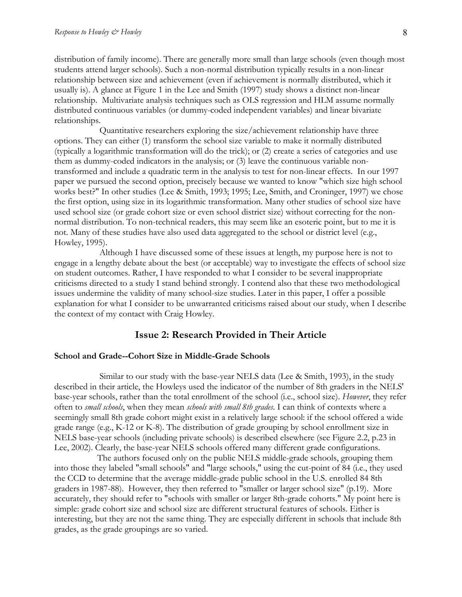distribution of family income). There are generally more small than large schools (even though most students attend larger schools). Such a non-normal distribution typically results in a non-linear relationship between size and achievement (even if achievement is normally distributed, which it usually is). A glance at Figure 1 in the Lee and Smith (1997) study shows a distinct non-linear relationship. Multivariate analysis techniques such as OLS regression and HLM assume normally distributed continuous variables (or dummy-coded independent variables) and linear bivariate relationships.

 Quantitative researchers exploring the size/achievement relationship have three options. They can either (1) transform the school size variable to make it normally distributed (typically a logarithmic transformation will do the trick); or (2) create a series of categories and use them as dummy-coded indicators in the analysis; or (3) leave the continuous variable nontransformed and include a quadratic term in the analysis to test for non-linear effects. In our 1997 paper we pursued the second option, precisely because we wanted to know "which size high school works best?" In other studies (Lee & Smith, 1993; 1995; Lee, Smith, and Croninger, 1997) we chose the first option, using size in its logarithmic transformation. Many other studies of school size have used school size (or grade cohort size or even school district size) without correcting for the nonnormal distribution. To non-technical readers, this may seem like an esoteric point, but to me it is not. Many of these studies have also used data aggregated to the school or district level (e.g., Howley, 1995).

 Although I have discussed some of these issues at length, my purpose here is not to engage in a lengthy debate about the best (or acceptable) way to investigate the effects of school size on student outcomes. Rather, I have responded to what I consider to be several inappropriate criticisms directed to a study I stand behind strongly. I contend also that these two methodological issues undermine the validity of many school-size studies. Later in this paper, I offer a possible explanation for what I consider to be unwarranted criticisms raised about our study, when I describe the context of my contact with Craig Howley.

## **Issue 2: Research Provided in Their Article**

#### **School and Grade--Cohort Size in Middle-Grade Schools**

 Similar to our study with the base-year NELS data (Lee & Smith, 1993), in the study described in their article, the Howleys used the indicator of the number of 8th graders in the NELS' base-year schools, rather than the total enrollment of the school (i.e., school size). *However*, they refer often to *small schools*, when they mean *schools with small 8th grades*. I can think of contexts where a seemingly small 8th grade cohort might exist in a relatively large school: if the school offered a wide grade range (e.g., K-12 or K-8). The distribution of grade grouping by school enrollment size in NELS base-year schools (including private schools) is described elsewhere (see Figure 2.2, p.23 in Lee, 2002). Clearly, the base-year NELS schools offered many different grade configurations.

 The authors focused only on the public NELS middle-grade schools, grouping them into those they labeled "small schools" and "large schools," using the cut-point of 84 (i.e., they used the CCD to determine that the average middle-grade public school in the U.S. enrolled 84 8th graders in 1987-88). However, they then referred to "smaller or larger school size" (p.19). More accurately, they should refer to "schools with smaller or larger 8th-grade cohorts." My point here is simple: grade cohort size and school size are different structural features of schools. Either is interesting, but they are not the same thing. They are especially different in schools that include 8th grades, as the grade groupings are so varied.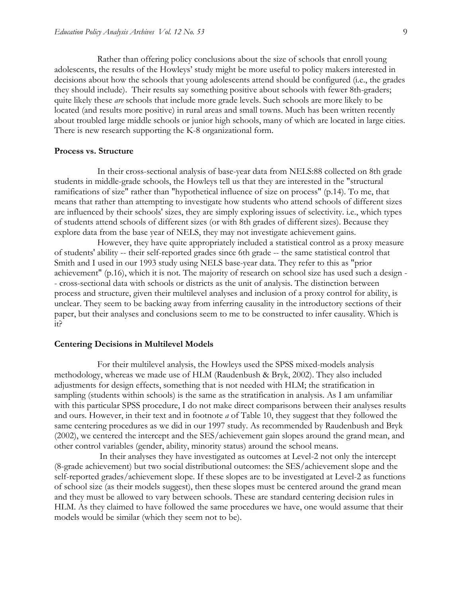Rather than offering policy conclusions about the size of schools that enroll young adolescents, the results of the Howleys' study might be more useful to policy makers interested in decisions about how the schools that young adolescents attend should be configured (i.e., the grades they should include). Their results say something positive about schools with fewer 8th-graders; quite likely these *are* schools that include more grade levels. Such schools are more likely to be located (and results more positive) in rural areas and small towns. Much has been written recently about troubled large middle schools or junior high schools, many of which are located in large cities. There is new research supporting the K-8 organizational form.

#### **Process vs. Structure**

 In their cross-sectional analysis of base-year data from NELS:88 collected on 8th grade students in middle-grade schools, the Howleys tell us that they are interested in the "structural ramifications of size" rather than "hypothetical influence of size on process" (p.14). To me, that means that rather than attempting to investigate how students who attend schools of different sizes are influenced by their schools' sizes, they are simply exploring issues of selectivity. i.e., which types of students attend schools of different sizes (or with 8th grades of different sizes). Because they explore data from the base year of NELS, they may not investigate achievement gains.

 However, they have quite appropriately included a statistical control as a proxy measure of students' ability -- their self-reported grades since 6th grade -- the same statistical control that Smith and I used in our 1993 study using NELS base-year data. They refer to this as "prior achievement" (p.16), which it is not. The majority of research on school size has used such a design - - cross-sectional data with schools or districts as the unit of analysis. The distinction between process and structure, given their multilevel analyses and inclusion of a proxy control for ability, is unclear. They seem to be backing away from inferring causality in the introductory sections of their paper, but their analyses and conclusions seem to me to be constructed to infer causality. Which is it?

#### **Centering Decisions in Multilevel Models**

 For their multilevel analysis, the Howleys used the SPSS mixed-models analysis methodology, whereas we made use of HLM (Raudenbush & Bryk, 2002). They also included adjustments for design effects, something that is not needed with HLM; the stratification in sampling (students within schools) is the same as the stratification in analysis. As I am unfamiliar with this particular SPSS procedure, I do not make direct comparisons between their analyses results and ours. However, in their text and in footnote *a* of Table 10, they suggest that they followed the same centering procedures as we did in our 1997 study. As recommended by Raudenbush and Bryk (2002), we centered the intercept and the SES/achievement gain slopes around the grand mean, and other control variables (gender, ability, minority status) around the school means.

 In their analyses they have investigated as outcomes at Level-2 not only the intercept (8-grade achievement) but two social distributional outcomes: the SES/achievement slope and the self-reported grades/achievement slope. If these slopes are to be investigated at Level-2 as functions of school size (as their models suggest), then these slopes must be centered around the grand mean and they must be allowed to vary between schools. These are standard centering decision rules in HLM. As they claimed to have followed the same procedures we have, one would assume that their models would be similar (which they seem not to be).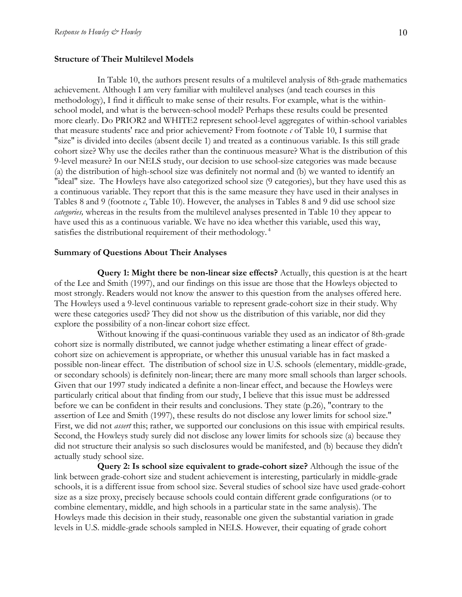#### **Structure of Their Multilevel Models**

 In Table 10, the authors present results of a multilevel analysis of 8th-grade mathematics achievement. Although I am very familiar with multilevel analyses (and teach courses in this methodology), I find it difficult to make sense of their results. For example, what is the withinschool model, and what is the between-school model? Perhaps these results could be presented more clearly. Do PRIOR2 and WHITE2 represent school-level aggregates of within-school variables that measure students' race and prior achievement? From footnote *c* of Table 10, I surmise that "size" is divided into deciles (absent decile 1) and treated as a continuous variable. Is this still grade cohort size? Why use the deciles rather than the continuous measure? What is the distribution of this 9-level measure? In our NELS study, our decision to use school-size categories was made because (a) the distribution of high-school size was definitely not normal and (b) we wanted to identify an "ideal" size. The Howleys have also categorized school size (9 categories), but they have used this as a continuous variable. They report that this is the same measure they have used in their analyses in Tables 8 and 9 (footnote *c*, Table 10). However, the analyses in Tables 8 and 9 did use school size *categories,* whereas in the results from the multilevel analyses presented in Table 10 they appear to have used this as a continuous variable. We have no idea whether this variable, used this way, satisfies the distributional requirement of their methodology.<sup>4</sup>

#### **Summary of Questions About Their Analyses**

 **Query 1: Might there be non-linear size effects?** Actually, this question is at the heart of the Lee and Smith (1997), and our findings on this issue are those that the Howleys objected to most strongly. Readers would not know the answer to this question from the analyses offered here. The Howleys used a 9-level continuous variable to represent grade-cohort size in their study. Why were these categories used? They did not show us the distribution of this variable, nor did they explore the possibility of a non-linear cohort size effect.

 Without knowing if the quasi-continuous variable they used as an indicator of 8th-grade cohort size is normally distributed, we cannot judge whether estimating a linear effect of gradecohort size on achievement is appropriate, or whether this unusual variable has in fact masked a possible non-linear effect. The distribution of school size in U.S. schools (elementary, middle-grade, or secondary schools) is definitely non-linear; there are many more small schools than larger schools. Given that our 1997 study indicated a definite a non-linear effect, and because the Howleys were particularly critical about that finding from our study, I believe that this issue must be addressed before we can be confident in their results and conclusions. They state (p.26), "contrary to the assertion of Lee and Smith (1997), these results do not disclose any lower limits for school size." First, we did not *assert* this; rather, we supported our conclusions on this issue with empirical results. Second, the Howleys study surely did not disclose any lower limits for schools size (a) because they did not structure their analysis so such disclosures would be manifested, and (b) because they didn't actually study school size.

 **Query 2: Is school size equivalent to grade-cohort size?** Although the issue of the link between grade-cohort size and student achievement is interesting, particularly in middle-grade schools, it is a different issue from school size. Several studies of school size have used grade-cohort size as a size proxy, precisely because schools could contain different grade configurations (or to combine elementary, middle, and high schools in a particular state in the same analysis). The Howleys made this decision in their study, reasonable one given the substantial variation in grade levels in U.S. middle-grade schools sampled in NELS. However, their equating of grade cohort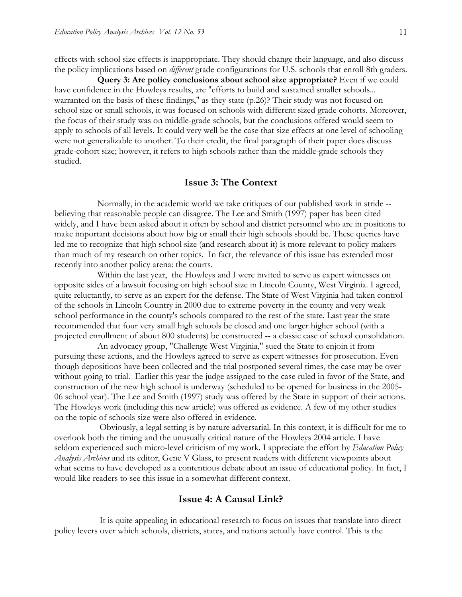effects with school size effects is inappropriate. They should change their language, and also discuss the policy implications based on *different* grade configurations for U.S. schools that enroll 8th graders.

 **Query 3: Are policy conclusions about school size appropriate?** Even if we could have confidence in the Howleys results, are "efforts to build and sustained smaller schools... warranted on the basis of these findings," as they state (p.26)? Their study was not focused on school size or small schools, it was focused on schools with different sized grade cohorts. Moreover, the focus of their study was on middle-grade schools, but the conclusions offered would seem to apply to schools of all levels. It could very well be the case that size effects at one level of schooling were not generalizable to another. To their credit, the final paragraph of their paper does discuss grade-cohort size; however, it refers to high schools rather than the middle-grade schools they studied.

## **Issue 3: The Context**

 Normally, in the academic world we take critiques of our published work in stride - believing that reasonable people can disagree. The Lee and Smith (1997) paper has been cited widely, and I have been asked about it often by school and district personnel who are in positions to make important decisions about how big or small their high schools should be. These queries have led me to recognize that high school size (and research about it) is more relevant to policy makers than much of my research on other topics. In fact, the relevance of this issue has extended most recently into another policy arena: the courts.

 Within the last year, the Howleys and I were invited to serve as expert witnesses on opposite sides of a lawsuit focusing on high school size in Lincoln County, West Virginia. I agreed, quite reluctantly, to serve as an expert for the defense. The State of West Virginia had taken control of the schools in Lincoln Country in 2000 due to extreme poverty in the county and very weak school performance in the county's schools compared to the rest of the state. Last year the state recommended that four very small high schools be closed and one larger higher school (with a projected enrollment of about 800 students) be constructed -- a classic case of school consolidation.

 An advocacy group, "Challenge West Virginia," sued the State to enjoin it from pursuing these actions, and the Howleys agreed to serve as expert witnesses for prosecution. Even though depositions have been collected and the trial postponed several times, the case may be over without going to trial. Earlier this year the judge assigned to the case ruled in favor of the State, and construction of the new high school is underway (scheduled to be opened for business in the 2005- 06 school year). The Lee and Smith (1997) study was offered by the State in support of their actions. The Howleys work (including this new article) was offered as evidence. A few of my other studies on the topic of schools size were also offered in evidence.

 Obviously, a legal setting is by nature adversarial. In this context, it is difficult for me to overlook both the timing and the unusually critical nature of the Howleys 2004 article. I have seldom experienced such micro-level criticism of my work. I appreciate the effort by *Education Policy Analysis Archives* and its editor, Gene V Glass, to present readers with different viewpoints about what seems to have developed as a contentious debate about an issue of educational policy. In fact, I would like readers to see this issue in a somewhat different context.

#### **Issue 4: A Causal Link?**

 It is quite appealing in educational research to focus on issues that translate into direct policy levers over which schools, districts, states, and nations actually have control. This is the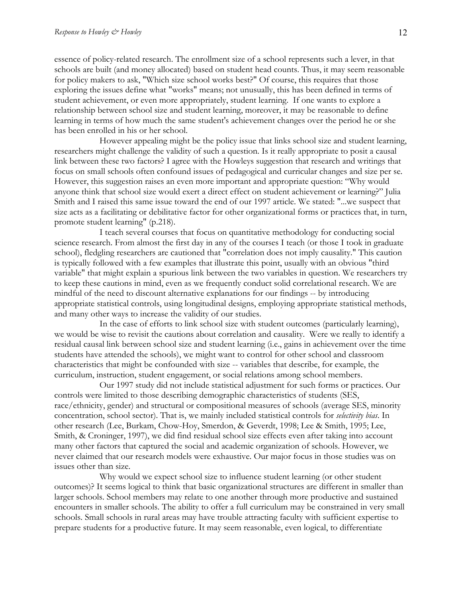essence of policy-related research. The enrollment size of a school represents such a lever, in that schools are built (and money allocated) based on student head counts. Thus, it may seem reasonable for policy makers to ask, "Which size school works best?" Of course, this requires that those exploring the issues define what "works" means; not unusually, this has been defined in terms of student achievement, or even more appropriately, student learning. If one wants to explore a relationship between school size and student learning, moreover, it may be reasonable to define learning in terms of how much the same student's achievement changes over the period he or she has been enrolled in his or her school.

 However appealing might be the policy issue that links school size and student learning, researchers might challenge the validity of such a question. Is it really appropriate to posit a causal link between these two factors? I agree with the Howleys suggestion that research and writings that focus on small schools often confound issues of pedagogical and curricular changes and size per se. However, this suggestion raises an even more important and appropriate question: "Why would anyone think that school size would exert a direct effect on student achievement or learning?" Julia Smith and I raised this same issue toward the end of our 1997 article. We stated: "...we suspect that size acts as a facilitating or debilitative factor for other organizational forms or practices that, in turn, promote student learning" (p.218).

 I teach several courses that focus on quantitative methodology for conducting social science research. From almost the first day in any of the courses I teach (or those I took in graduate school), fledgling researchers are cautioned that "correlation does not imply causality." This caution is typically followed with a few examples that illustrate this point, usually with an obvious "third variable" that might explain a spurious link between the two variables in question. We researchers try to keep these cautions in mind, even as we frequently conduct solid correlational research. We are mindful of the need to discount alternative explanations for our findings -- by introducing appropriate statistical controls, using longitudinal designs, employing appropriate statistical methods, and many other ways to increase the validity of our studies.

 In the case of efforts to link school size with student outcomes (particularly learning), we would be wise to revisit the cautions about correlation and causality. Were we really to identify a residual causal link between school size and student learning (i.e., gains in achievement over the time students have attended the schools), we might want to control for other school and classroom characteristics that might be confounded with size -- variables that describe, for example, the curriculum, instruction, student engagement, or social relations among school members.

 Our 1997 study did not include statistical adjustment for such forms or practices. Our controls were limited to those describing demographic characteristics of students (SES, race/ethnicity, gender) and structural or compositional measures of schools (average SES, minority concentration, school sector). That is, we mainly included statistical controls for *selectivity bias*. In other research (Lee, Burkam, Chow-Hoy, Smerdon, & Geverdt, 1998; Lee & Smith, 1995; Lee, Smith, & Croninger, 1997), we did find residual school size effects even after taking into account many other factors that captured the social and academic organization of schools. However, we never claimed that our research models were exhaustive. Our major focus in those studies was on issues other than size.

 Why would we expect school size to influence student learning (or other student outcomes)? It seems logical to think that basic organizational structures are different in smaller than larger schools. School members may relate to one another through more productive and sustained encounters in smaller schools. The ability to offer a full curriculum may be constrained in very small schools. Small schools in rural areas may have trouble attracting faculty with sufficient expertise to prepare students for a productive future. It may seem reasonable, even logical, to differentiate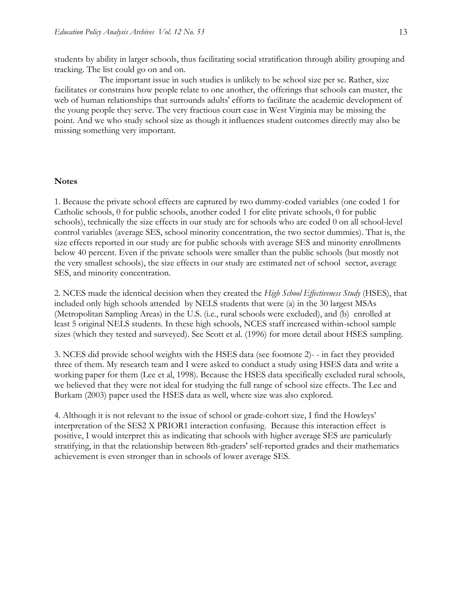students by ability in larger schools, thus facilitating social stratification through ability grouping and tracking. The list could go on and on.

 The important issue in such studies is unlikely to be school size per se. Rather, size facilitates or constrains how people relate to one another, the offerings that schools can muster, the web of human relationships that surrounds adults' efforts to facilitate the academic development of the young people they serve. The very fractious court case in West Virginia may be missing the point. And we who study school size as though it influences student outcomes directly may also be missing something very important.

#### **Notes**

1. Because the private school effects are captured by two dummy-coded variables (one coded 1 for Catholic schools, 0 for public schools, another coded 1 for elite private schools, 0 for public schools), technically the size effects in our study are for schools who are coded 0 on all school-level control variables (average SES, school minority concentration, the two sector dummies). That is, the size effects reported in our study are for public schools with average SES and minority enrollments below 40 percent. Even if the private schools were smaller than the public schools (but mostly not the very smallest schools), the size effects in our study are estimated net of school sector, average SES, and minority concentration.

2. NCES made the identical decision when they created the *High School Effectiveness Study* (HSES), that included only high schools attended by NELS students that were (a) in the 30 largest MSAs (Metropolitan Sampling Areas) in the U.S. (i.e., rural schools were excluded), and (b) enrolled at least 5 original NELS students. In these high schools, NCES staff increased within-school sample sizes (which they tested and surveyed). See Scott et al. (1996) for more detail about HSES sampling.

3. NCES did provide school weights with the HSES data (see footnote 2)- - in fact they provided three of them. My research team and I were asked to conduct a study using HSES data and write a working paper for them (Lee et al, 1998). Because the HSES data specifically excluded rural schools, we believed that they were not ideal for studying the full range of school size effects. The Lee and Burkam (2003) paper used the HSES data as well, where size was also explored.

4. Although it is not relevant to the issue of school or grade-cohort size, I find the Howleys' interpretation of the SES2 X PRIOR1 interaction confusing. Because this interaction effect is positive, I would interpret this as indicating that schools with higher average SES are particularly stratifying, in that the relationship between 8th-graders' self-reported grades and their mathematics achievement is even stronger than in schools of lower average SES.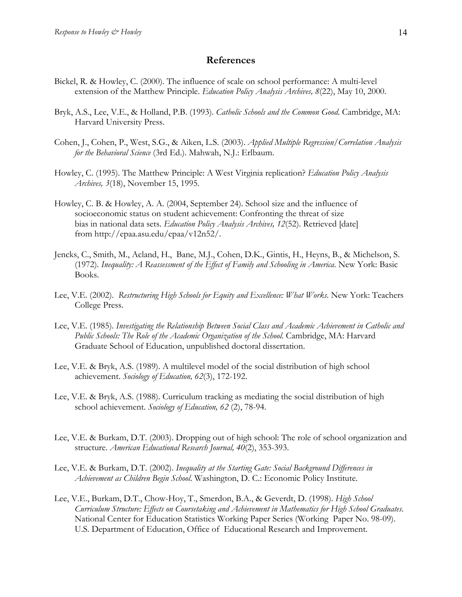## **References**

- Bickel, R. & Howley, C. (2000). The influence of scale on school performance: A multi-level extension of the Matthew Principle. *Education Policy Analysis Archives, 8*(22), May 10, 2000.
- Bryk, A.S., Lee, V.E., & Holland, P.B. (1993). *Catholic Schools and the Common Good*. Cambridge, MA: Harvard University Press.
- Cohen, J., Cohen, P., West, S.G., & Aiken, L.S. (2003). *Applied Multiple Regression/Correlation Analysis for the Behavioral Science* (3rd Ed.). Mahwah, N.J.: Erlbaum.
- Howley, C. (1995). The Matthew Principle: A West Virginia replication? *Education Policy Analysis Archives, 3*(18), November 15, 1995.
- Howley, C. B. & Howley, A. A. (2004, September 24). School size and the influence of socioeconomic status on student achievement: Confronting the threat of size bias in national data sets. *Education Policy Analysis Archives, 12*(52). Retrieved [date] from http://epaa.asu.edu/epaa/v12n52/.
- Jencks, C., Smith, M., Acland, H., Bane, M.J., Cohen, D.K., Gintis, H., Heyns, B., & Michelson, S. (1972). *Inequality: A Reassessment of the Effect of Family and Schooling in America*. New York: Basic Books.
- Lee, V.E. (2002). *Restructuring High Schools for Equity and Excellence: What Works*. New York: Teachers College Press.
- Lee, V.E. (1985). *Investigating the Relationship Between Social Class and Academic Achievement in Catholic and Public Schools: The Role of the Academic Organization of the School.* Cambridge, MA: Harvard Graduate School of Education, unpublished doctoral dissertation.
- Lee, V.E. & Bryk, A.S. (1989). A multilevel model of the social distribution of high school achievement. *Sociology of Education, 62*(3), 172-192.
- Lee, V.E. & Bryk, A.S. (1988). Curriculum tracking as mediating the social distribution of high school achievement. *Sociology of Education, 62* (2), 78-94.
- Lee, V.E. & Burkam, D.T. (2003). Dropping out of high school: The role of school organization and structure. *American Educational Research Journal, 40*(2), 353-393.
- Lee, V.E. & Burkam, D.T. (2002). *Inequality at the Starting Gate: Social Background Differences in Achievement as Children Begin School*. Washington, D. C.: Economic Policy Institute.
- Lee, V.E., Burkam, D.T., Chow-Hoy, T., Smerdon, B.A., & Geverdt, D. (1998). *High School Curriculum Structure: Effects on Coursetaking and Achievement in Mathematics for High School Graduates*. National Center for Education Statistics Working Paper Series (Working Paper No. 98-09). U.S. Department of Education, Office of Educational Research and Improvement.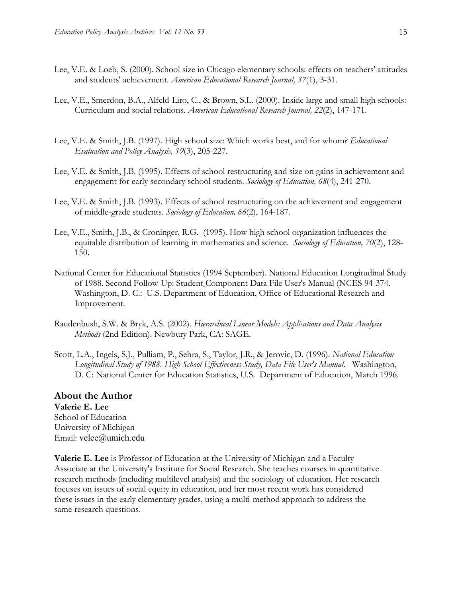- Lee, V.E. & Loeb, S. (2000). School size in Chicago elementary schools: effects on teachers' attitudes and students' achievement. *American Educational Research Journal, 37*(1), 3-31.
- Lee, V.E., Smerdon, B.A., Alfeld-Liro, C., & Brown, S.L. (2000). Inside large and small high schools: Curriculum and social relations. *American Educational Research Journal, 22*(2), 147-171.
- Lee, V.E. & Smith, J.B. (1997). High school size: Which works best, and for whom? *Educational Evaluation and Policy Analysis, 19*(3), 205-227.
- Lee, V.E. & Smith, J.B. (1995). Effects of school restructuring and size on gains in achievement and engagement for early secondary school students. *Sociology of Education, 68*(4), 241-270.
- Lee, V.E. & Smith, J.B. (1993). Effects of school restructuring on the achievement and engagement of middle-grade students. *Sociology of Education, 66*(2), 164-187.
- Lee, V.E., Smith, J.B., & Croninger, R.G. (1995). How high school organization influences the equitable distribution of learning in mathematics and science. *Sociology of Education, 70*(2), 128- 150.
- National Center for Educational Statistics (1994 September). National Education Longitudinal Study of 1988. Second Follow-Up: Student Component Data File User's Manual (NCES 94-374. Washington, D. C.: U.S. Department of Education, Office of Educational Research and Improvement.
- Raudenbush, S.W. & Bryk, A.S. (2002). *Hierarchical Linear Models: Applications and Data Analysis Methods* (2nd Edition). Newbury Park, CA: SAGE.
- Scott, L.A., Ingels, S.J., Pulliam, P., Sehra, S., Taylor, J.R., & Jerovic, D. (1996). *National Education Longitudinal Study of 1988. High School Effectiveness Study, Data File User's Manual*. Washington, D. C: National Center for Education Statistics, U.S. Department of Education, March 1996.

#### **About the Author Valerie E. Lee**

School of Education University of Michigan Email: velee@umich.edu

**Valerie E. Lee** is Professor of Education at the University of Michigan and a Faculty Associate at the University's Institute for Social Research. She teaches courses in quantitative research methods (including multilevel analysis) and the sociology of education. Her research focuses on issues of social equity in education, and her most recent work has considered these issues in the early elementary grades, using a multi-method approach to address the same research questions.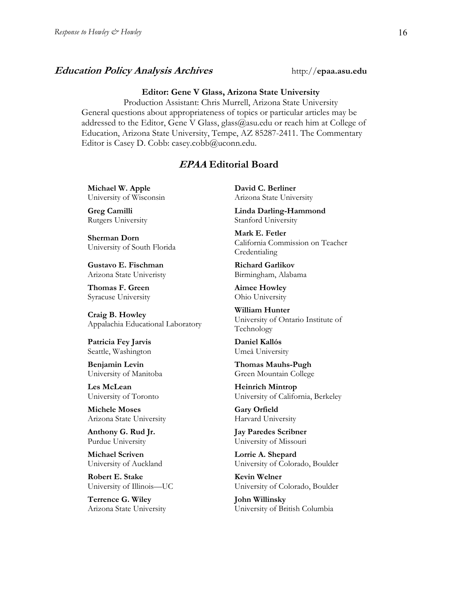### **Education Policy Analysis Archives** http://epaa.asu.edu

#### **Editor: Gene V Glass, Arizona State University**

Production Assistant: Chris Murrell, Arizona State University General questions about appropriateness of topics or particular articles may be addressed to the Editor, Gene V Glass, glass@asu.edu or reach him at College of Education, Arizona State University, Tempe, AZ 85287-2411. The Commentary Editor is Casey D. Cobb: casey.cobb@uconn.edu.

## **EPAA Editorial Board**

**Michael W. Apple** University of Wisconsin

**Greg Camilli** Rutgers University

**Sherman Dorn** University of South Florida

**Gustavo E. Fischman** Arizona State Univeristy

**Thomas F. Green** Syracuse University

**Craig B. Howley** Appalachia Educational Laboratory

**Patricia Fey Jarvis**  Seattle, Washington

**Benjamin Levin** University of Manitoba

**Les McLean** University of Toronto

**Michele Moses** Arizona State University

**Anthony G. Rud Jr.** Purdue University

**Michael Scriven** University of Auckland

**Robert E. Stake**  University of Illinois—UC

**Terrence G. Wiley** Arizona State University **David C. Berliner**  Arizona State University

**Linda Darling-Hammond**  Stanford University

**Mark E. Fetler** California Commission on Teacher Credentialing

**Richard Garlikov** Birmingham, Alabama

**Aimee Howley** Ohio University

**William Hunter** University of Ontario Institute of Technology

**Daniel Kallós** Umeå University

**Thomas Mauhs-Pugh** Green Mountain College

**Heinrich Mintrop**  University of California, Berkeley

**Gary Orfield** Harvard University

**Jay Paredes Scribner** University of Missouri

**Lorrie A. Shepard** University of Colorado, Boulder

**Kevin Welner** University of Colorado, Boulder

**John Willinsky** University of British Columbia